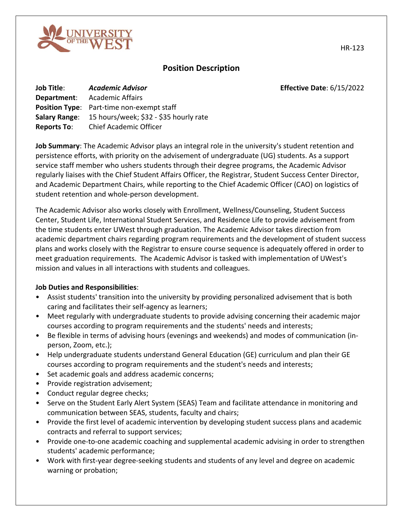

# **Position Description**

**Job Title**: *Academic Advisor* **Effective Date**: 6/15/2022

| <b>Job Title:</b>     | <b>Academic Advisor</b>                |
|-----------------------|----------------------------------------|
| Department:           | <b>Academic Affairs</b>                |
| <b>Position Type:</b> | Part-time non-exempt staff             |
| <b>Salary Range:</b>  | 15 hours/week; \$32 - \$35 hourly rate |
| <b>Reports To:</b>    | <b>Chief Academic Officer</b>          |

**Job Summary**: The Academic Advisor plays an integral role in the university's student retention and persistence efforts, with priority on the advisement of undergraduate (UG) students. As a support service staff member who ushers students through their degree programs, the Academic Advisor regularly liaises with the Chief Student Affairs Officer, the Registrar, Student Success Center Director, and Academic Department Chairs, while reporting to the Chief Academic Officer (CAO) on logistics of student retention and whole-person development.

The Academic Advisor also works closely with Enrollment, Wellness/Counseling, Student Success Center, Student Life, International Student Services, and Residence Life to provide advisement from the time students enter UWest through graduation. The Academic Advisor takes direction from academic department chairs regarding program requirements and the development of student success plans and works closely with the Registrar to ensure course sequence is adequately offered in order to meet graduation requirements. The Academic Advisor is tasked with implementation of UWest's mission and values in all interactions with students and colleagues.

### **Job Duties and Responsibilities**:

- Assist students' transition into the university by providing personalized advisement that is both caring and facilitates their self-agency as learners;
- Meet regularly with undergraduate students to provide advising concerning their academic major courses according to program requirements and the students' needs and interests;
- Be flexible in terms of advising hours (evenings and weekends) and modes of communication (inperson, Zoom, etc.);
- Help undergraduate students understand General Education (GE) curriculum and plan their GE courses according to program requirements and the student's needs and interests;
- Set academic goals and address academic concerns;
- Provide registration advisement;
- Conduct regular degree checks;
- Serve on the Student Early Alert System (SEAS) Team and facilitate attendance in monitoring and communication between SEAS, students, faculty and chairs;
- Provide the first level of academic intervention by developing student success plans and academic contracts and referral to support services;
- Provide one-to-one academic coaching and supplemental academic advising in order to strengthen students' academic performance;
- Work with first-year degree-seeking students and students of any level and degree on academic warning or probation;

HR-123